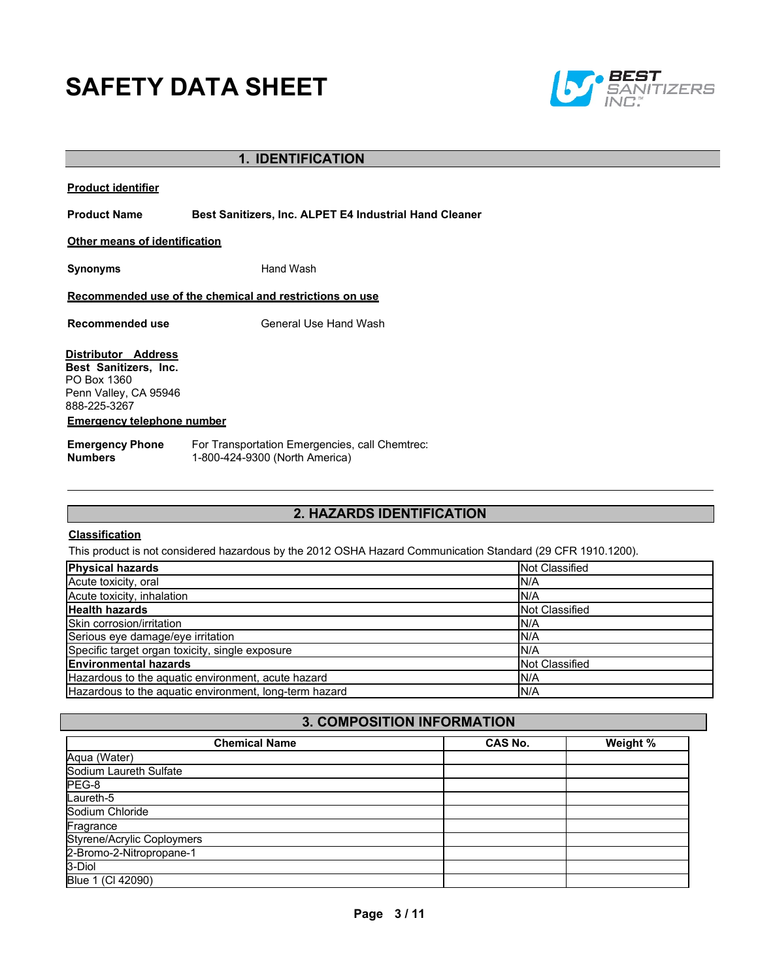# **SAFETY DATA SHEET**



## **1. IDENTIFICATION**

**Product Name Best Sanitizers, Inc. ALPET E4 Industrial Hand Cleaner**

**Other means of identification**

**Synonyms** Hand Wash

**Recommended use of the chemical and restrictions on use**

**Recommended use** General Use Hand Wash

**Distributor Address Best Sanitizers, Inc.**  PO Box 1360 Penn Valley, CA 95946 888-225-3267

#### **Emergency telephone number**

**Emergency Phone Numbers** For Transportation Emergencies, call Chemtrec: 1-800-424-9300 (North America)

## **2. HAZARDS IDENTIFICATION**

#### **Classification**

This product is not considered hazardous by the 2012 OSHA Hazard Communication Standard (29 CFR 1910.1200).

| <b>Physical hazards</b>                                | Not Classified        |
|--------------------------------------------------------|-----------------------|
| Acute toxicity, oral                                   | IN/A                  |
| Acute toxicity, inhalation                             | IN/A                  |
| <b>Health hazards</b>                                  | Not Classified        |
| Skin corrosion/irritation                              | IN/A                  |
| Serious eye damage/eye irritation                      | IN/A                  |
| Specific target organ toxicity, single exposure        | IN/A                  |
| <b>Environmental hazards</b>                           | <b>Not Classified</b> |
| Hazardous to the aquatic environment, acute hazard     | N/A                   |
| Hazardous to the aquatic environment, long-term hazard | N/A                   |

## **3. COMPOSITION INFORMATION**

| <b>Chemical Name</b>              | <b>CAS No.</b> | Weight % |
|-----------------------------------|----------------|----------|
| Aqua (Water)                      |                |          |
| Sodium Laureth Sulfate            |                |          |
| PEG-8                             |                |          |
| Laureth-5                         |                |          |
| Sodium Chloride                   |                |          |
| Fragrance                         |                |          |
| <b>Styrene/Acrylic Coploymers</b> |                |          |
| 2-Bromo-2-Nitropropane-1          |                |          |
| 3-Diol                            |                |          |
| Blue 1 (Cl 42090)                 |                |          |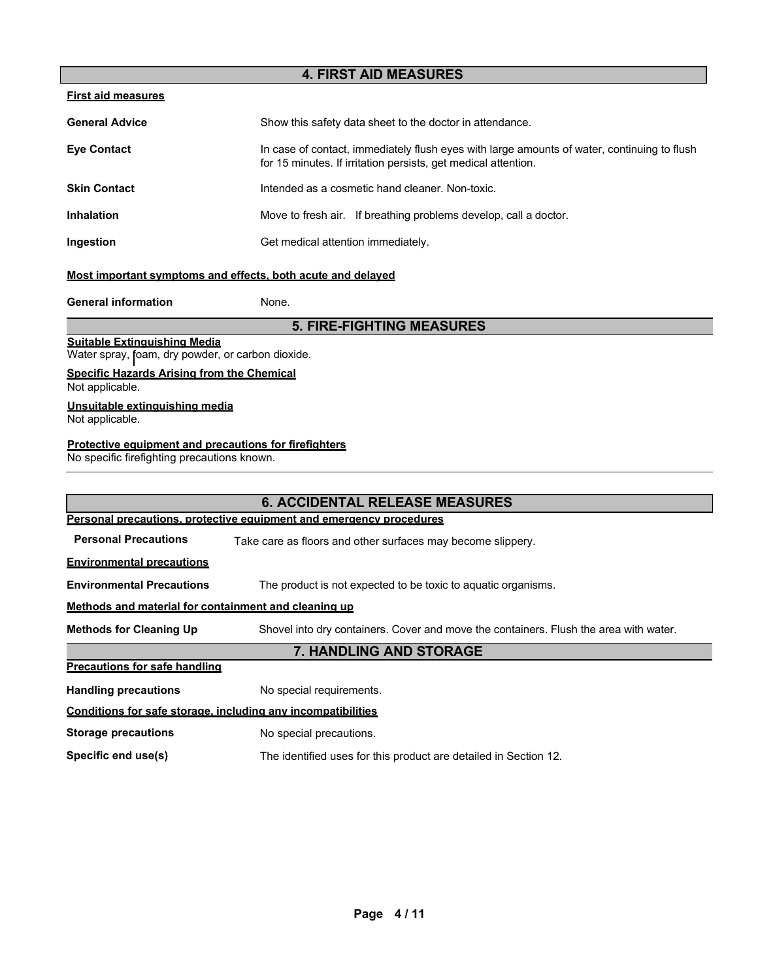## **4. FIRST AID MEASURES**

#### **First aid measures**

| <b>General Advice</b> | Show this safety data sheet to the doctor in attendance.                                                                                                      |  |
|-----------------------|---------------------------------------------------------------------------------------------------------------------------------------------------------------|--|
| <b>Eye Contact</b>    | In case of contact, immediately flush eyes with large amounts of water, continuing to flush<br>for 15 minutes. If irritation persists, get medical attention. |  |
| <b>Skin Contact</b>   | Intended as a cosmetic hand cleaner. Non-toxic.                                                                                                               |  |
| <b>Inhalation</b>     | Move to fresh air. If breathing problems develop, call a doctor.                                                                                              |  |
| Ingestion             | Get medical attention immediately.                                                                                                                            |  |

## **Most important symptoms and effects, both acute and delayed**

**General information** None.

#### **5. FIRE-FIGHTING MEASURES**

#### **Suitable Extinguishing Media**

Water spray, foam, dry powder, or carbon dioxide.

## **Specific Hazards Arising from the Chemical**

Not applicable.

#### **Unsuitable extinguishing media**

Not applicable.

#### **Protective equipment and precautions for firefighters**

No specific firefighting precautions known.

## **6. ACCIDENTAL RELEASE MEASURES Personal precautions, protective equipment and emergency procedures Personal Precautions** Take care as floors and other surfaces may become slippery. **Environmental precautions Environmental Precautions** The product is not expected to be toxic to aquatic organisms. **Methods and material for containment and cleaning up Methods for Cleaning Up** Shovel into dry containers. Cover and move the containers. Flush the area with water. **7. HANDLING AND STORAGE Precautions for safe handling Handling precautions** No special requirements. **Conditions for safe storage, including any incompatibilities Storage precautions** No special precautions. **Specific end use(s)** The identified uses for this product are detailed in Section 12.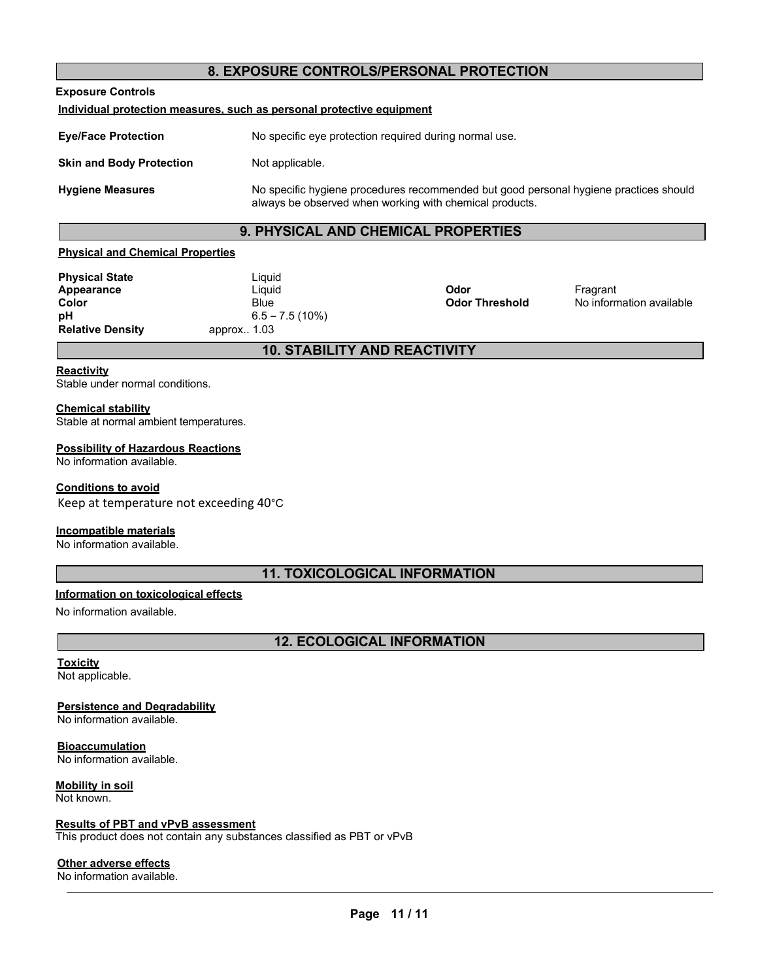## **8. EXPOSURE CONTROLS/PERSONAL PROTECTION**

**Exposure Controls**

#### **Individual protection measures, such as personal protective equipment**

**Eye/Face Protection** No specific eye protection required during normal use. **Skin and Body Protection** Not applicable. **Hygiene Measures** No specific hygiene procedures recommended but good personal hygiene practices should always be observed when working with chemical products.

## **9. PHYSICAL AND CHEMICAL PROPERTIES**

#### **Physical and Chemical Properties**

| <b>Physical State</b><br>Appearance | Liquid<br>Liquid                | Odor                  | Fragrant                 |  |
|-------------------------------------|---------------------------------|-----------------------|--------------------------|--|
| Color                               | Blue                            | <b>Odor Threshold</b> | No information available |  |
| pH<br><b>Relative Density</b>       | $6.5 - 7.5(10%)$<br>approx 1.03 |                       |                          |  |
| <b>10. STABILITY AND REACTIVITY</b> |                                 |                       |                          |  |

#### **Reactivity**

Stable under normal conditions.

## **Chemical stability**

Stable at normal ambient temperatures.

#### **Possibility of Hazardous Reactions**

No information available.

#### **Conditions to avoid**

Keep at temperature not exceeding 40°C

#### **Incompatible materials**

No information available.

## **11. TOXICOLOGICAL INFORMATION**

#### **Information on toxicological effects**

No information available.

## **12. ECOLOGICAL INFORMATION**

## **Toxicity**

Not applicable.

## **Persistence and Degradability**

No information available.

**Bioaccumulation** No information available.

**Mobility in soil** Not known.

## **Results of PBT and vPvB assessment**

This product does not contain any substances classified as PBT or vPvB

## **Other adverse effects**

No information available.